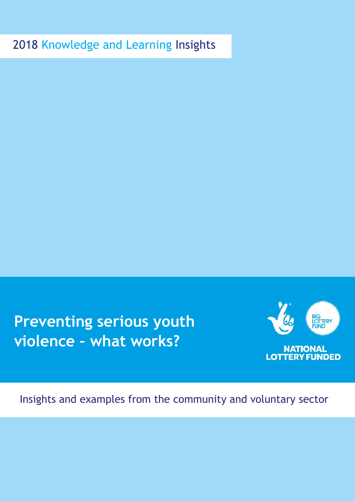# 2018 Knowledge and Learning Insights

**Preventing serious youth violence – what works?** 



**NATIONAL LOTTERY FUNDED** 

Insights and examples from the community and voluntary sector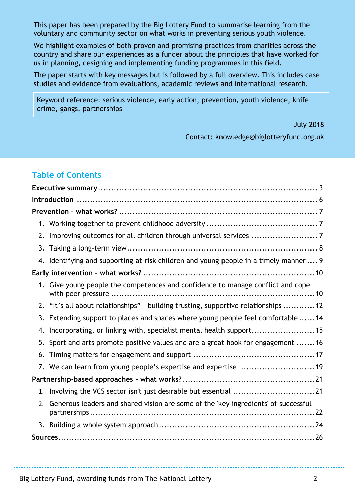This paper has been prepared by the Big Lottery Fund to summarise learning from the voluntary and community sector on what works in preventing serious youth violence.

We highlight examples of both proven and promising practices from charities across the country and share our experiences as a funder about the principles that have worked for us in planning, designing and implementing funding programmes in this field.

The paper starts with key messages but is followed by a full overview. This includes case studies and evidence from evaluations, academic reviews and international research.

Keyword reference: serious violence, early action, prevention, youth violence, knife crime, gangs, partnerships

July 2018

Contact: knowledge@biglotteryfund.org.uk

# **Table of Contents**

|    | 2. Improving outcomes for all children through universal services 7                |
|----|------------------------------------------------------------------------------------|
| 3. |                                                                                    |
| 4. | Identifying and supporting at-risk children and young people in a timely manner 9  |
|    |                                                                                    |
|    | 1. Give young people the competences and confidence to manage conflict and cope    |
|    | 2. "It's all about relationships" - building trusting, supportive relationships 12 |
|    | 3. Extending support to places and spaces where young people feel comfortable 14   |
| 4. | Incorporating, or linking with, specialist mental health support15                 |
|    | 5. Sport and arts promote positive values and are a great hook for engagement 16   |
| 6. |                                                                                    |
|    | 7. We can learn from young people's expertise and expertise 19                     |
|    |                                                                                    |
| 1. | Involving the VCS sector isn't just desirable but essential 21                     |
| 2. | Generous leaders and shared vision are some of the 'key ingredients' of successful |
|    |                                                                                    |
|    |                                                                                    |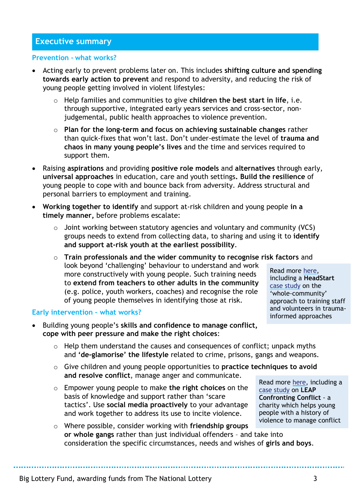### **Executive summary**

#### **Prevention – what works?**

- Acting early to prevent problems later on. This includes **shifting culture and spending towards early action to prevent** and respond to adversity, and reducing the risk of young people getting involved in violent lifestyles:
	- o Help families and communities to give **children the best start in life**, i.e. through supportive, integrated early years services and cross-sector, nonjudgemental, public health approaches to violence prevention.
	- o **Plan for the long-term and focus on achieving sustainable changes** rather than quick-fixes that won't last. Don't under-estimate the level of **trauma and chaos in many young people's lives** and the time and services required to support them.
- Raising **aspirations** and providing **positive role models** and **alternatives** through early, **universal approaches** in education, care and youth settings**. Build the resilience** of young people to cope with and bounce back from adversity. Address structural and personal barriers to employment and training.
- **Working together to identify** and support at-risk children and young people **in a timely manner,** before problems escalate:
	- o Joint working between statutory agencies and voluntary and community (VCS) groups needs to extend from collecting data, to sharing and using it to **identify and support at-risk youth at the earliest possibility**.
	- o **Train professionals and the wider community to recognise risk factors** and look beyond 'challenging' behaviour to understand and work more constructively with young people. Such training needs to **extend from teachers to other adults in the community** (e.g. police, youth workers, coaches) and recognise the role of young people themselves in identifying those at risk. Read more [here,](#page-6-0)

### **Early intervention – what works?**

- Building young people's **skills and confidence to manage conflict, cope with peer pressure and make the right choices**:
- including a **HeadStart** [case study](#page-9-0) on the 'whole-community' approach to training staff and volunteers in traumainformed approaches
- o Help them understand the causes and consequences of conflict; unpack myths and **'de-glamorise' the lifestyle** related to crime, prisons, gangs and weapons.
- o Give children and young people opportunities to **practice techniques to avoid and resolve conflict**, manage anger and communicate.
- o Empower young people to make **the right choices** on the basis of knowledge and support rather than 'scare tactics'. Use **social media proactively** to your advantage and work together to address its use to incite violence.

Read more [here,](#page-9-1) including a [case study](#page-11-0) on **LEAP Confronting Conflict** - a charity which helps young people with a history of violence to manage conflict

o Where possible, consider working with **friendship groups or whole gangs** rather than just individual offenders – and take into consideration the specific circumstances, needs and wishes of **girls and boys**.

. . . . . . . . . . . .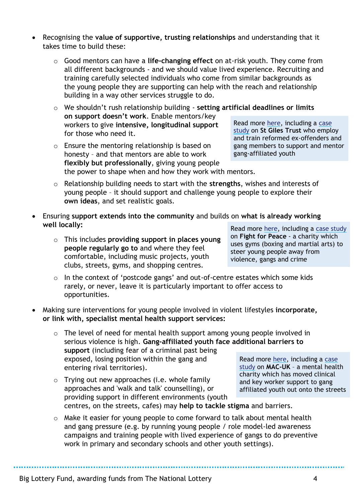- Recognising the **value of supportive, trusting relationships** and understanding that it takes time to build these:
	- o Good mentors can have a **life-changing effect** on at-risk youth. They come from all different backgrounds - and we should value lived experience. Recruiting and training carefully selected individuals who come from similar backgrounds as the young people they are supporting can help with the reach and relationship building in a way other services struggle to do.

o We shouldn't rush relationship building - **setting artificial deadlines or limits on support doesn't work**. Enable mentors/key workers to give **intensive, longitudinal support** for those who need it. Read more [here,](#page-11-1) including a [case](#page-12-0)  [study](#page-12-0) on **St Giles Trust** who employ and train reformed ex-offenders and

o Ensure the mentoring relationship is based on honesty – and that mentors are able to work **flexibly but professionally**, giving young people the power to shape when and how they work with mentors. gang members to support and mentor gang-affiliated youth

- o Relationship building needs to start with the **strengths**, wishes and interests of young people – it should support and challenge young people to explore their **own ideas**, and set realistic goals.
- Ensuring **support extends into the community** and builds on **what is already working well locally:** Read more [here,](#page-13-0) including a [case study](#page-13-1)
	- o This includes **providing support in places young people regularly go to** and where they feel comfortable, including music projects, youth clubs, streets, gyms, and shopping centres.

on **Fight for Peace** - a charity which uses gyms (boxing and martial arts) to steer young people away from violence, gangs and crime

- o In the context of 'postcode gangs' and out-of-centre estates which some kids rarely, or never, leave it is particularly important to offer access to opportunities.
- Making sure interventions for young people involved in violent lifestyles **incorporate, or link with, specialist mental health support services:**
	- o The level of need for mental health support among young people involved in serious violence is high. **Gang-affiliated youth face additional barriers to support** (including fear of a criminal past being exposed, losing position within the gang and entering rival territories). Read more [here,](#page-14-0) including a [case](#page-15-0)  [study](#page-15-0) on **MAC-UK** – a mental health charity which has moved clinical
	- o Trying out new approaches (i.e. whole family approaches and 'walk and talk' counselling), or providing support in different environments (youth centres, on the streets, cafes) may **help to tackle stigma** and barriers. and key worker support to gang affiliated youth out onto the streets
	- o Make it easier for young people to come forward to talk about mental health and gang pressure (e.g. by running young people / role model-led awareness campaigns and training people with lived experience of gangs to do preventive work in primary and secondary schools and other youth settings).

----------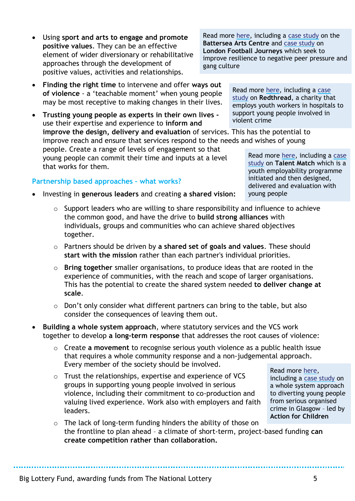- Using **sport and arts to engage and promote positive values**. They can be an effective element of wider diversionary or rehabilitative approaches through the development of positive values, activities and relationships.
- **Finding the right time** to intervene and offer **ways out of violence** - a 'teachable moment' when young people may be most receptive to making changes in their lives.

 **Trusting young people as experts in their own lives**  use their expertise and experience to **inform and improve the design, delivery and evaluation** of services. This has the potential to improve reach and ensure that services respond to the needs and wishes of young people. Create a range of levels of engagement so that young people can commit their time and inputs at a level that works for them. support young people involved in violent crime

### **Partnership based approaches – what works?**

- Investing in **generous leaders** and creating **a shared vision:**
	- $\circ$  Support leaders who are willing to share responsibility and influence to achieve the common good, and have the drive to **build strong alliances** with individuals, groups and communities who can achieve shared objectives together.
	- o Partners should be driven by **a shared set of goals and values**. These should **start with the mission** rather than each partner's individual priorities.
	- o **Bring together** smaller organisations, to produce ideas that are rooted in the experience of communities, with the reach and scope of larger organisations. This has the potential to create the shared system needed **to deliver change at scale**.
	- $\circ$  Don't only consider what different partners can bring to the table, but also consider the consequences of leaving them out.
- **Building a whole system approach**, where statutory services and the VCS work together to develop **a long-term response** that addresses the root causes of violence:
	- o Create **a movement** to recognise serious youth violence as a public health issue that requires a whole community response and a non-judgemental approach. Every member of the society should be involved.
	- o Trust the relationships, expertise and experience of VCS groups in supporting young people involved in serious violence, including their commitment to co-production and valuing lived experience. Work also with employers and faith leaders.

Read more [here,](#page-20-0) including a [case study](#page-23-0) on a whole system approach to diverting young people from serious organised crime in Glasgow – led by **Action for Children**

o The lack of long-term funding hinders the ability of those on the frontline to plan ahead – a climate of short-term, project-based funding **can create competition rather than collaboration.**

Read more [here,](#page-18-0) including a [case](#page-19-0)  [study](#page-19-0) on **Talent Match** which is a youth employability programme initiated and then designed, delivered and evaluation with

Read more [here,](#page-15-1) including a [case study](#page-16-0) on the **Battersea Arts Centre** and [case study](#page-16-1) on **London Football Journeys** which seek to improve resilience to negative peer pressure and gang culture

> Read more [here,](#page-17-0) including a [case](#page-17-1)  [study](#page-17-1) on **Redthread**, a charity that employs youth workers in hospitals to

> > young people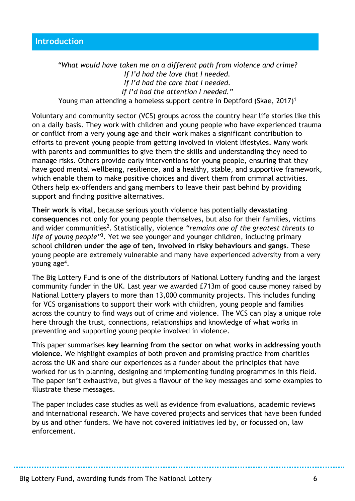*"What would have taken me on a different path from violence and crime? If I'd had the love that I needed. If I'd had the care that I needed. If I'd had the attention I needed."* Young man attending a homeless support centre in Deptford (Skae, 2017)<sup>1</sup>

Voluntary and community sector (VCS) groups across the country hear life stories like this on a daily basis. They work with children and young people who have experienced trauma or conflict from a very young age and their work makes a significant contribution to efforts to prevent young people from getting involved in violent lifestyles. Many work with parents and communities to give them the skills and understanding they need to manage risks. Others provide early interventions for young people, ensuring that they have good mental wellbeing, resilience, and a healthy, stable, and supportive framework, which enable them to make positive choices and divert them from criminal activities. Others help ex-offenders and gang members to leave their past behind by providing support and finding positive alternatives.

**Their work is vital**, because serious youth violence has potentially **devastating consequences** not only for young people themselves, but also for their families, victims and wider communities<sup>2</sup>. Statistically, violence "remains one of the greatest threats to life of young people<sup>"3</sup>. Yet we see younger and younger children, including primary school **children under the age of ten, involved in risky behaviours and gangs**. These young people are extremely vulnerable and many have experienced adversity from a very young age<sup>4</sup>.

The Big Lottery Fund is one of the distributors of National Lottery funding and the largest community funder in the UK. Last year we awarded £713m of good cause money raised by National Lottery players to more than 13,000 community projects. This includes funding for VCS organisations to support their work with children, young people and families across the country to find ways out of crime and violence. The VCS can play a unique role here through the trust, connections, relationships and knowledge of what works in preventing and supporting young people involved in violence.

This paper summarises **key learning from the sector on what works in addressing youth violence.** We highlight examples of both proven and promising practice from charities across the UK and share our experiences as a funder about the principles that have worked for us in planning, designing and implementing funding programmes in this field. The paper isn't exhaustive, but gives a flavour of the key messages and some examples to illustrate these messages.

The paper includes case studies as well as evidence from evaluations, academic reviews and international research. We have covered projects and services that have been funded by us and other funders. We have not covered initiatives led by, or focussed on, law enforcement.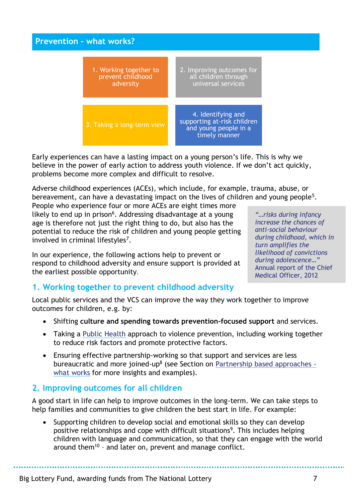<span id="page-6-0"></span>

Early experiences can have a lasting impact on a young person's life. This is why we believe in the power of early action to address youth violence. If we don't act quickly, problems become more complex and difficult to resolve.

Adverse childhood experiences (ACEs), which include, for example, trauma, abuse, or bereavement, can have a devastating impact on the lives of children and young people<sup>5</sup>.

People who experience four or more ACEs are eight times more likely to end up in prison<sup>6</sup>. Addressing disadvantage at a young age is therefore not just the right thing to do, but also has the potential to reduce the risk of children and young people getting involved in criminal lifestyles<sup>7</sup>.

In our experience, the following actions help to prevent or respond to childhood adversity and ensure support is provided at the earliest possible opportunity.

*"…risks during infancy increase the chances of anti-social behaviour during childhood, which in turn amplifies the likelihood of convictions during adolescence…"* Annual report of the Chief Medical Officer, 2012

# **1. Working together to prevent childhood adversity**

Local public services and the VCS can improve the way they work together to improve outcomes for children, e.g. by:

- Shifting **culture and spending towards prevention-focused support** and services.
- Taking a [Public Health](https://www.gov.uk/government/publications/a-public-health-approach-to-violence-prevention-in-england) approach to violence prevention, including working together to reduce risk factors and promote protective factors.
- Ensuring effective partnership-working so that support and services are less bureaucratic and more joined-up<sup>8</sup> (see Section on [Partnership based approaches](#page-20-0)  [what works](#page-20-0) for more insights and examples).

# **2. Improving outcomes for all children**

A good start in life can help to improve outcomes in the long-term. We can take steps to help families and communities to give children the best start in life. For example:

 Supporting children to develop social and emotional skills so they can develop positive relationships and cope with difficult situations<sup>9</sup>. This includes helping children with language and communication, so that they can engage with the world around them<sup>10</sup> - and later on, prevent and manage conflict.

..........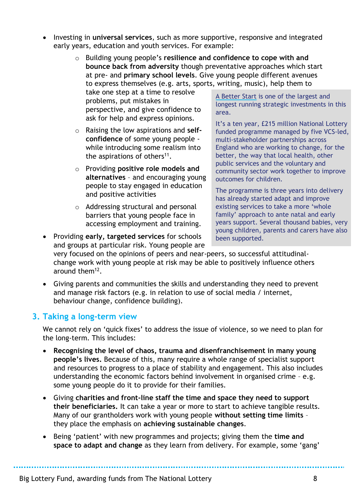- Investing in **universal services**, such as more supportive, responsive and integrated early years, education and youth services. For example:
	- o Building young people's **resilience and confidence to cope with and bounce back from adversity** though preventative approaches which start at pre- and **primary school levels**. Give young people different avenues to express themselves (e.g. arts, sports, writing, music), help them to

take one step at a time to resolve problems, put mistakes in perspective, and give confidence to ask for help and express opinions.

- o Raising the low aspirations and **selfconfidence** of some young people while introducing some realism into the aspirations of others<sup>11</sup>.
- o Providing **positive role models and alternatives** – and encouraging young people to stay engaged in education and positive activities
- o Addressing structural and personal barriers that young people face in accessing employment and training.

 Providing **early, targeted services** for schools and groups at particular risk. Young people are [A Better Start](https://www.biglotteryfund.org.uk/global-content/programmes/england/fulfilling-lives-a-better-start) is one of the largest and longest running strategic investments in this area.

It's a ten year, £215 million National Lottery funded programme managed by five VCS-led, multi-stakeholder partnerships across England who are working to change, for the better, the way that local health, other public services and the voluntary and community sector work together to improve outcomes for children.

The programme is three years into delivery has already started adapt and improve existing services to take a more 'whole family' approach to ante natal and early years support. Several thousand babies, very young children, parents and carers have also been supported.

very focused on the opinions of peers and near-peers, so successful attitudinalchange work with young people at risk may be able to positively influence others around them<sup>12</sup>.

 Giving parents and communities the skills and understanding they need to prevent and manage risk factors (e.g. in relation to use of social media / internet, behaviour change, confidence building).

# **3. Taking a long-term view**

We cannot rely on 'quick fixes' to address the issue of violence, so we need to plan for the long-term. This includes:

- **Recognising the level of chaos, trauma and disenfranchisement in many young people's lives.** Because of this, many require a whole range of specialist support and resources to progress to a place of stability and engagement. This also includes understanding the economic factors behind involvement in organised crime – e.g. some young people do it to provide for their families.
- Giving **charities and front-line staff the time and space they need to support their beneficiaries.** It can take a year or more to start to achieve tangible results. Many of our grantholders work with young people **without setting time limits** – they place the emphasis on **achieving sustainable changes**.
- Being 'patient' with new programmes and projects; giving them the **time and space to adapt and change** as they learn from delivery. For example, some 'gang'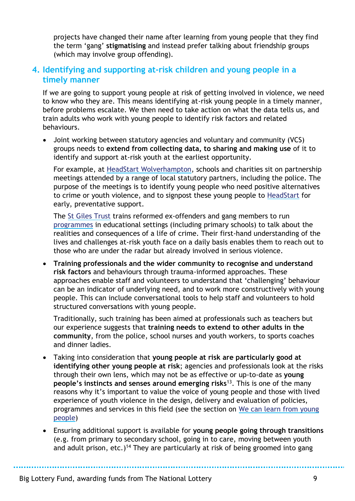projects have changed their name after learning from young people that they find the term 'gang' **stigmatising** and instead prefer talking about friendship groups (which may involve group offending).

# **4. Identifying and supporting at-risk children and young people in a timely manner**

If we are going to support young people at risk of getting involved in violence, we need to know who they are. This means identifying at-risk young people in a timely manner, before problems escalate. We then need to take action on what the data tells us, and train adults who work with young people to identify risk factors and related behaviours.

 Joint working between statutory agencies and voluntary and community (VCS) groups needs to **extend from collecting data, to sharing and making use** of it to identify and support at-risk youth at the earliest opportunity.

For example, at [HeadStart Wolverhampton,](https://www.headstartonline.co.uk/) schools and charities sit on partnership meetings attended by a range of local statutory partners, including the police. The purpose of the meetings is to identify young people who need positive alternatives to crime or youth violence, and to signpost these young people to [HeadStart](https://www.headstartonline.co.uk/) for early, preventative support.

The [St Giles Trust](https://www.stgilestrust.org.uk/) trains reformed ex-offenders and gang members to run [programmes](https://www.stgilestrust.org.uk/page/sos-plus-programme) in educational settings (including primary schools) to talk about the realities and consequences of a life of crime. Their first-hand understanding of the lives and challenges at-risk youth face on a daily basis enables them to reach out to those who are under the radar but already involved in serious violence.

 **Training professionals and the wider community to recognise and understand risk factors** and behaviours through trauma-informed approaches. These approaches enable staff and volunteers to understand that 'challenging' behaviour can be an indicator of underlying need, and to work more constructively with young people. This can include conversational tools to help staff and volunteers to hold structured conversations with young people.

Traditionally, such training has been aimed at professionals such as teachers but our experience suggests that **training needs to extend to other adults in the community**, from the police, school nurses and youth workers, to sports coaches and dinner ladies.

- Taking into consideration that **young people at risk are particularly good at identifying other young people at risk**; agencies and professionals look at the risks through their own lens, which may not be as effective or up-to-date as **young people's instincts and senses around emerging risks**<sup>13</sup> . This is one of the many reasons why it's important to value the voice of young people and those with lived experience of youth violence in the design, delivery and evaluation of policies, programmes and services in this field (see the section on [We can learn from young](#page-18-1)  [people\)](#page-18-1)
- Ensuring additional support is available for **young people going through transitions** (e.g. from primary to secondary school, going in to care, moving between youth and adult prison, etc.)<sup>14</sup> They are particularly at risk of being groomed into gang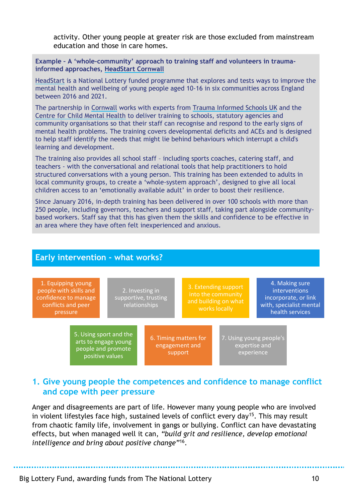<span id="page-9-0"></span>activity. Other young people at greater risk are those excluded from mainstream education and those in care homes.

**Example – A 'whole-community' approach to training staff and volunteers in traumainformed approaches, [HeadStart Cornwall](https://www.cornwall.gov.uk/headstart)**

[HeadStart](https://www.biglotteryfund.org.uk/global-content/programmes/england/fulfilling-lives-headstart) is a National Lottery funded programme that explores and tests ways to improve the mental health and wellbeing of young people aged 10-16 in six communities across England between 2016 and 2021.

The partnership in [Cornwall](https://www.cornwall.gov.uk/headstart) works with experts from [Trauma Informed Schools](http://www.traumainformedschools.co.uk/) UK and the [Centre for Child Mental Health](https://www.childmentalhealthcentre.org/) to deliver training to schools, statutory agencies and community organisations so that their staff can recognise and respond to the early signs of mental health problems. The training covers developmental deficits and ACEs and is designed to help staff identify the needs that might lie behind behaviours which interrupt a child's learning and development.

The training also provides all school staff – including sports coaches, catering staff, and teachers - with the conversational and relational tools that help practitioners to hold structured conversations with a young person. This training has been extended to adults in local community groups, to create a 'whole-system approach', designed to give all local children access to an 'emotionally available adult' in order to boost their resilience.

Since January 2016, in-depth training has been delivered in over 100 schools with more than 250 people, including governors, teachers and support staff, taking part alongside communitybased workers. Staff say that this has given them the skills and confidence to be effective in an area where they have often felt inexperienced and anxious.

# **Early intervention - what works?**

1. Equipping young people with skills and confidence to manage conflicts and peer pressure

2. Investing in supportive, trusting relationships

3. Extending support into the community

4. Making sure interventions incorporate, or link with, specialist mental health services

5. Using sport and the arts to engage young people and promote positive values

6. Timing matters for engagement and support

<span id="page-9-1"></span>7. Using young people's expertise and experience

# **1. Give young people the competences and confidence to manage conflict and cope with peer pressure**

Anger and disagreements are part of life. However many young people who are involved in violent lifestyles face high, sustained levels of conflict every day<sup>15</sup>. This may result from chaotic family life, involvement in gangs or bullying. Conflict can have devastating effects, but when managed well it can, *"build grit and resilience, develop emotional intelligence and bring about positive change"*<sup>16</sup> .

. . . . . . . . . . . .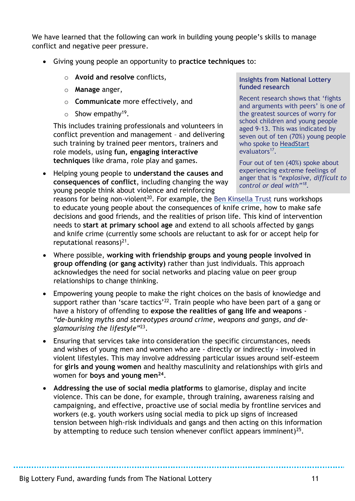We have learned that the following can work in building young people's skills to manage conflict and negative peer pressure.

- Giving young people an opportunity to **practice techniques** to:
	- o **Avoid and resolve** conflicts,
	- o **Manage** anger,
	- o **Communicate** more effectively, and
	- $\circ$  Show empathy<sup>19</sup>.

This includes training professionals and volunteers in conflict prevention and management – and delivering such training by trained peer mentors, trainers and role models, using **fun, engaging interactive techniques** like drama, role play and games.

 Helping young people to **understand the causes and consequences of conflict**, including changing the way young people think about violence and reinforcing

#### **Insights from National Lottery funded research**

Recent research shows that 'fights and arguments with peers' is one of the greatest sources of worry for school children and young people aged 9-13. This was indicated by seven out of ten (70%) young people who spoke to [HeadStart](https://www.biglotteryfund.org.uk/global-content/programmes/england/fulfilling-lives-headstart) evaluators<sup>17</sup>.

Four out of ten (40%) spoke about experiencing extreme feelings of anger that is *"explosive, difficult to control or deal with"<sup>18</sup> .*

reasons for being non-violent<sup>20</sup>. For example, the [Ben Kinsella Trust](http://www.benkinsella.org.uk/) runs workshops to educate young people about the consequences of knife crime, how to make safe decisions and good friends, and the realities of prison life. This kind of intervention needs to **start at primary school age** and extend to all schools affected by gangs and knife crime (currently some schools are reluctant to ask for or accept help for reputational reasons) $^{21}$ .

- Where possible, **working with friendship groups and young people involved in group offending (or gang activity)** rather than just individuals. This approach acknowledges the need for social networks and placing value on peer group relationships to change thinking.
- Empowering young people to make the right choices on the basis of knowledge and support rather than 'scare tactics'<sup>22</sup>. Train people who have been part of a gang or have a history of offending to **expose the realities of gang life and weapons** - *"de-bunking myths and stereotypes around crime, weapons and gangs, and deglamourising the lifestyle"*<sup>23</sup> .
- Ensuring that services take into consideration the specific circumstances, needs and wishes of young men and women who are - directly or indirectly - involved in violent lifestyles. This may involve addressing particular issues around self-esteem for **girls and young women** and healthy masculinity and relationships with girls and women for **boys and young men<sup>24</sup>** .
- **Addressing the use of social media platforms** to glamorise, display and incite violence. This can be done, for example, through training, awareness raising and campaigning, and effective, proactive use of social media by frontline services and workers (e.g. youth workers using social media to pick up signs of increased tension between high-risk individuals and gangs and then acting on this information by attempting to reduce such tension whenever conflict appears imminent)<sup>25</sup>.

...........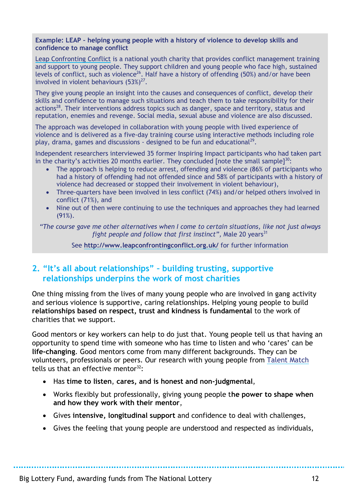#### <span id="page-11-0"></span>**Example: LEAP – helping young people with a history of violence to develop skills and confidence to manage conflict**

[Leap Confronting Conflict](http://www.leapconfrontingconflict.org.uk/) is a national youth charity that provides conflict management training and support to young people. They support children and young people who face high, sustained levels of conflict, such as violence<sup>26</sup>. Half have a history of offending (50%) and/or have been involved in violent behaviours  $(53\%)^{27}$ .

They give young people an insight into the causes and consequences of conflict, develop their skills and confidence to manage such situations and teach them to take responsibility for their actions<sup>28</sup>. Their interventions address topics such as danger, space and territory, status and reputation, enemies and revenge. Social media, sexual abuse and violence are also discussed.

The approach was developed in collaboration with young people with lived experience of violence and is delivered as a five-day training course using interactive methods including role play, drama, games and discussions - designed to be fun and educational<sup>29</sup>.

Independent researchers interviewed 35 former Inspiring Impact participants who had taken part in the charity's activities 20 months earlier. They concluded [note the small sample]<sup>30</sup>:

- The approach is helping to reduce arrest, offending and violence (86% of participants who had a history of offending had not offended since and 58% of participants with a history of violence had decreased or stopped their involvement in violent behaviour),
- Three-quarters have been involved in less conflict (74%) and/or helped others involved in conflict (71%), and
- Nine out of then were continuing to use the techniques and approaches they had learned (91%).

*"The course gave me other alternatives when I come to certain situations, like not just always fight people and follow that first instinct", Male 20 years*<sup>31</sup>

See **<http://www.leapconfrontingconflict.org.uk/>** for further information

# <span id="page-11-1"></span>**2. "It's all about relationships" – building trusting, supportive relationships underpins the work of most charities**

One thing missing from the lives of many young people who are involved in gang activity and serious violence is supportive, caring relationships. Helping young people to build **relationships based on respect, trust and kindness is fundamental** to the work of charities that we support.

Good mentors or key workers can help to do just that. Young people tell us that having an opportunity to spend time with someone who has time to listen and who 'cares' can be **life-changing**. Good mentors come from many different backgrounds. They can be volunteers, professionals or peers. Our research with young people from [Talent Match](https://www.biglotteryfund.org.uk/global-content/programmes/england/talent-match) tells us that an effective mentor $32$ :

- Has **time to listen**, **cares, and is honest and non-judgmental**,
- Works flexibly but professionally, giving young people t**he power to shape when and how they work with their mentor**,
- Gives **intensive, longitudinal support** and confidence to deal with challenges,
- Gives the feeling that young people are understood and respected as individuals,

. . . . . . . . . . .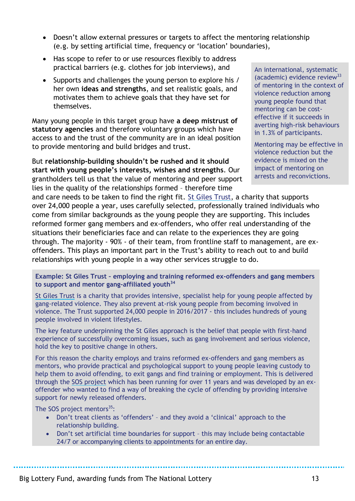- Doesn't allow external pressures or targets to affect the mentoring relationship (e.g. by setting artificial time, frequency or 'location' boundaries),
- Has scope to refer to or use resources flexibly to address practical barriers (e.g. clothes for job interviews), and
- Supports and challenges the young person to explore his / her own **ideas and strengths**, and set realistic goals, and motivates them to achieve goals that they have set for themselves.

Many young people in this target group have **a deep mistrust of statutory agencies** and therefore voluntary groups which have access to and the trust of the community are in an ideal position to provide mentoring and build bridges and trust.

But **relationship-building shouldn't be rushed and it should start with young people's interests, wishes and strengths**. Our grantholders tell us that the value of mentoring and peer support lies in the quality of the relationships formed – therefore time

An international, systematic (academic) evidence review $33$ of mentoring in the context of violence reduction among young people found that mentoring can be costeffective if it succeeds in averting high-risk behaviours in 1.3% of participants.

Mentoring may be effective in violence reduction but the evidence is mixed on the impact of mentoring on arrests and reconvictions.

and care needs to be taken to find the right fit. [St Giles Trust,](https://www.stgilestrust.org.uk/index) a charity that supports over 24,000 people a year, uses carefully selected, professionally trained individuals who come from similar backgrounds as the young people they are supporting. This includes reformed former gang members and ex-offenders, who offer real understanding of the situations their beneficiaries face and can relate to the experiences they are going through. The majority - 90% - of their team, from frontline staff to management, are exoffenders. This plays an important part in the Trust's ability to reach out to and build relationships with young people in a way other services struggle to do.

<span id="page-12-0"></span>**Example: St Giles Trust – employing and training reformed ex-offenders and gang members to support and mentor gang-affiliated youth<sup>34</sup>**

[St Giles Trust](https://www.stgilestrust.org.uk/index) is a charity that provides intensive, specialist help for young people affected by gang-related violence. They also prevent at-risk young people from becoming involved in violence. The Trust supported 24,000 people in 2016/2017 - this includes hundreds of young people involved in violent lifestyles.

The key feature underpinning the St Giles approach is the belief that people with first-hand experience of successfully overcoming issues, such as gang involvement and serious violence, hold the key to positive change in others.

For this reason the charity employs and trains reformed ex-offenders and gang members as mentors, who provide practical and psychological support to young people leaving custody to help them to avoid offending, to exit gangs and find training or employment. This is delivered through the [SOS project](https://www.stgilestrust.org.uk/page/sos-project) which has been running for over 11 years and was developed by an exoffender who wanted to find a way of breaking the cycle of offending by providing intensive support for newly released offenders.

The SOS project mentors $35$ :

- Don't treat clients as 'offenders' and they avoid a 'clinical' approach to the relationship building.
- Don't set artificial time boundaries for support this may include being contactable 24/7 or accompanying clients to appointments for an entire day.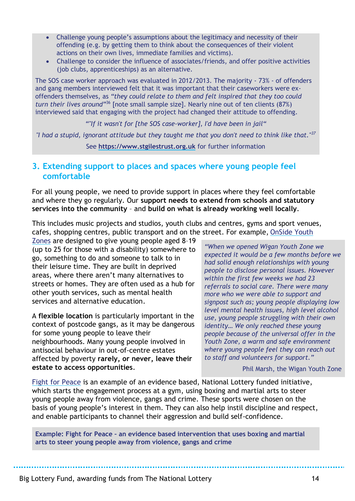- Challenge young people's assumptions about the legitimacy and necessity of their offending (e.g. by getting them to think about the consequences of their violent actions on their own lives, immediate families and victims).
- Challenge to consider the influence of associates/friends, and offer positive activities (job clubs, apprenticeships) as an alternative.

The SOS case worker approach was evaluated in 2012/2013. The majority - 73% - of offenders and gang members interviewed felt that it was important that their caseworkers were exoffenders themselves, as *"they could relate to them and felt inspired that they too could turn their lives around"*<sup>36</sup> [note small sample size]. Nearly nine out of ten clients (87%) interviewed said that engaging with the project had changed their attitude to offending.

*""If it wasn't for [the SOS case-worker], I'd have been in jail"* 

*"I had a stupid, ignorant attitude but they taught me that you don't need to think like that."<sup>37</sup>*

See **[https://www.stgilestrust.org.uk](https://www.stgilestrust.org.uk/)** for further information

# <span id="page-13-0"></span>**3. Extending support to places and spaces where young people feel comfortable**

For all young people, we need to provide support in places where they feel comfortable and where they go regularly. Our **support needs to extend from schools and statutory services into the community** – and **build on what is already working well locally**.

This includes music projects and studios, youth clubs and centres, gyms and sport venues, cafes, shopping centres, public transport and on the street. For example, [OnSide Youth](https://www.onsideyouthzones.org/) 

[Zones](https://www.onsideyouthzones.org/) are designed to give young people aged 8–19 (up to 25 for those with a disability) somewhere to go, something to do and someone to talk to in their leisure time. They are built in deprived areas, where there aren't many alternatives to streets or homes. They are often used as a hub for other youth services, such as mental health services and alternative education.

A **flexible location** is particularly important in the context of postcode gangs, as it may be dangerous for some young people to leave their neighbourhoods. Many young people involved in antisocial behaviour in out-of-centre estates affected by poverty **rarely, or never, leave their estate to access opportunities**.

*"When we opened Wigan Youth Zone we expected it would be a few months before we had solid enough relationships with young people to disclose personal issues. However within the first few weeks we had 23 referrals to social care. There were many more who we were able to support and signpost such as; young people displaying low level mental health issues, high level alcohol use, young people struggling with their own identity… We only reached these young people because of the universal offer in the Youth Zone, a warm and safe environment where young people feel they can reach out to staff and volunteers for support."*

Phil Marsh, the Wigan Youth Zone

[Fight for Peace](http://fightforpeace.net/) is an example of an evidence based, National Lottery funded initiative, which starts the engagement process at a gym, using boxing and martial arts to steer young people away from violence, gangs and crime. These sports were chosen on the basis of young people's interest in them. They can also help instil discipline and respect, and enable participants to channel their aggression and build self-confidence.

<span id="page-13-1"></span>**Example: Fight for Peace – an evidence based intervention that uses boxing and martial arts to steer young people away from violence, gangs and crime**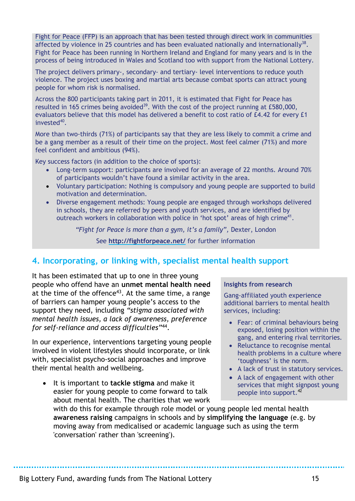[Fight for Peace](http://fightforpeace.net/) (FFP) is an approach that has been tested through direct work in communities affected by violence in 25 countries and has been evaluated nationally and internationally<sup>38</sup>. Fight for Peace has been running in Northern Ireland and England for many years and is in the process of being introduced in Wales and Scotland too with support from the National Lottery.

The project delivers primary-, secondary- and tertiary- level interventions to reduce youth violence. The project uses boxing and martial arts because combat sports can attract young people for whom risk is normalised.

Across the 800 participants taking part in 2011, it is estimated that Fight for Peace has resulted in 165 crimes being avoided<sup>39</sup>. With the cost of the project running at  $E$ 580,000, evaluators believe that this model has delivered a benefit to cost ratio of £4.42 for every £1 invested<sup>40</sup>.

More than two-thirds (71%) of participants say that they are less likely to commit a crime and be a gang member as a result of their time on the project. Most feel calmer (71%) and more feel confident and ambitious (94%).

Key success factors (in addition to the choice of sports):

- Long-term support: participants are involved for an average of 22 months. Around 70% of participants wouldn't have found a similar activity in the area.
- Voluntary participation: Nothing is compulsory and young people are supported to build motivation and determination.
- Diverse engagement methods: Young people are engaged through workshops delivered in schools, they are referred by peers and youth services, and are identified by outreach workers in collaboration with police in 'hot spot' areas of high crime<sup>41</sup>.

*"Fight for Peace is more than a gym, it's a family",* Dexter, London See **<http://fightforpeace.net/>** for further information

# <span id="page-14-0"></span>**4. Incorporating, or linking with, specialist mental health support**

It has been estimated that up to one in three young people who offend have an **unmet mental health need** at the time of the offence<sup>43</sup>. At the same time, a range of barriers can hamper young people's access to the support they need, including *"stigma associated with mental health issues, a lack of awareness, preference for self-reliance and access difficulties"*<sup>44</sup> .

In our experience, interventions targeting young people involved in violent lifestyles should incorporate, or link with, specialist psycho-social approaches and improve their mental health and wellbeing.

 It is important to **tackle stigma** and make it easier for young people to come forward to talk about mental health. The charities that we work

### **Insights from research**

Gang-affiliated youth experience additional barriers to mental health services, including:

- Fear: of criminal behaviours being exposed, losing position within the gang, and entering rival territories.
- Reluctance to recognise mental health problems in a culture where 'toughness' is the norm.
- A lack of trust in statutory services.
- A lack of engagement with other services that might signpost young people into support.<sup>42</sup>

with do this for example through role model or young people led mental health **awareness raising** campaigns in schools and by **simplifying the language** (e.g. by moving away from medicalised or academic language such as using the term 'conversation' rather than 'screening').

. . . . . . . . . . .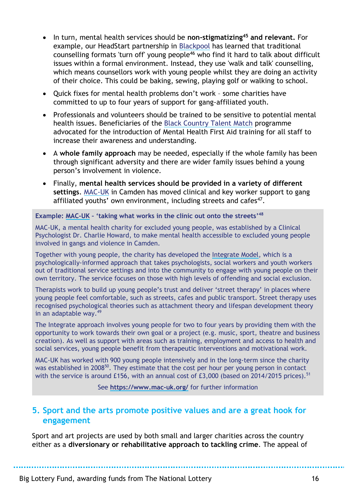- In turn, mental health services should be **non-stigmatizing<sup>45</sup> and relevant.** For example, our HeadStart partnership in [Blackpool](https://www.blackpool.gov.uk/Residents/Health-and-social-care/HeadStart-Blackpool/) has learned that traditional counselling formats 'turn off' young people<sup>46</sup> who find it hard to talk about difficult issues within a formal environment. Instead, they use 'walk and talk' counselling, which means counsellors work with young people whilst they are doing an activity of their choice. This could be baking, sewing, playing golf or walking to school.
- Quick fixes for mental health problems don't work some charities have committed to up to four years of support for gang-affiliated youth.
- Professionals and volunteers should be trained to be sensitive to potential mental health issues. Beneficiaries of the [Black Country Talent Match](https://www.bctalentmatch.com/) programme advocated for the introduction of Mental Health First Aid training for all staff to increase their awareness and understanding.
- A **whole family approach** may be needed, especially if the whole family has been through significant adversity and there are wider family issues behind a young person's involvement in violence.
- Finally, **mental health services should be provided in a variety of different settings**. [MAC-UK](https://mac-uk.rit.org.uk/) in Camden has moved clinical and key worker support to gang affiliated youths' own environment, including streets and cafes<sup>47</sup>.

#### **Example: [MAC-UK](https://www.mac-uk.org/) – 'taking what works in the clinic out onto the streets'<sup>48</sup>**

<span id="page-15-0"></span>MAC-UK, a mental health charity for excluded young people, was established by a Clinical Psychologist Dr. Charlie Howard, to make mental health accessible to excluded young people involved in gangs and violence in Camden.

Together with young people, the charity has developed the [Integrate Model,](https://mac-uk.rit.org.uk/our-approach) which is a psychologically-informed approach that takes psychologists, social workers and youth workers out of traditional service settings and into the community to engage with young people on their own territory. The service focuses on those with high levels of offending and social exclusion.

Therapists work to build up young people's trust and deliver 'street therapy' in places where young people feel comfortable, such as streets, cafes and public transport. Street therapy uses recognised psychological theories such as attachment theory and lifespan development theory in an adaptable way.<sup>49</sup>

The Integrate approach involves young people for two to four years by providing them with the opportunity to work towards their own goal or a project (e.g. music, sport, theatre and business creation). As well as support with areas such as training, employment and access to health and social services, young people benefit from therapeutic interventions and motivational work.

MAC-UK has worked with 900 young people intensively and in the long-term since the charity was established in 2008<sup>50</sup>. They estimate that the cost per hour per young person in contact with the service is around £156, with an annual cost of  $£3,000$  (based on 2014/2015 prices).<sup>51</sup>

#### See **<https://www.mac-uk.org/>** for further information

### <span id="page-15-1"></span>**5. Sport and the arts promote positive values and are a great hook for engagement**

Sport and art projects are used by both small and larger charities across the country either as a **diversionary or rehabilitative approach to tackling crime**. The appeal of

. . . . . . . . . .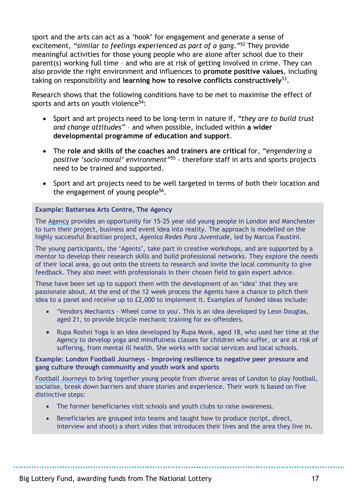sport and the arts can act as a 'hook' for engagement and generate a sense of excitement, *"similar to feelings experienced as part of a gang." <sup>52</sup>* They provide meaningful activities for those young people who are alone after school due to their parent(s) working full time – and who are at risk of getting involved in crime. They can also provide the right environment and influences to **promote positive values**, including taking on responsibility and **learning how to resolve conflicts constructively**<sup>53</sup> .

Research shows that the following conditions have to be met to maximise the effect of sports and arts on youth violence<sup>54</sup>:

- Sport and art projects need to be long-term in nature if, *"they are to build trust and change attitudes"* – and when possible, included within **a wider developmental programme of education and support**.
- The **role and skills of the coaches and trainers are critical** for, *"engendering a positive 'socio-moral' environment"*<sup>55</sup> - therefore staff in arts and sports projects need to be trained and supported.
- Sport and art projects need to be well targeted in terms of both their location and the engagement of young people<sup>56</sup>.

#### <span id="page-16-0"></span>**Example: Battersea Arts Centre, The Agency**

The [Agency](https://www.bac.org.uk/content_category/3381/young_people/the_agency_1525) provides an opportunity for 15-25 year old young people in London and Manchester to turn their project, business and event idea into reality. The approach is modelled on the highly successful Brazilian project, *Agenica Redes Para Juventude*, led by Marcus Faustini.

The young participants, the 'Agents', take part in creative workshops, and are supported by a mentor to develop their research skills and build professional networks. They explore the needs of their local area, go out onto the streets to research and invite the local community to give feedback. They also meet with professionals in their chosen field to gain expert advice.

These have been set up to support them with the development of an 'idea' that they are passionate about. At the end of the 12 week process the Agents have a chance to pitch their idea to a panel and receive up to £2,000 to implement it. Examples of funded ideas include:

- 'Vendors Mechanics Wheel come to you'. This is an idea developed by Leon Douglas, aged 21, to provide bicycle mechanic training for ex-offenders.
- Rupa Roshni Yoga is an idea developed by Rupa Monk, aged 18, who used her time at the Agency to develop yoga and mindfulness classes for children who suffer, or are at risk of suffering, from mental ill health. She works with social services and local schools.

#### <span id="page-16-1"></span>**Example: London Football Journeys – Improving resilience to negative peer pressure and gang culture through community and youth work and sports**

[Football Journeys](http://londonfootballjourneys.org/) to bring together young people from diverse areas of London to play football, socialise, break down barriers and share stories and experience. Their work is based on five distinctive steps:

- The former beneficiaries visit schools and youth clubs to raise awareness.
- Beneficiaries are grouped into teams and taught how to produce (script, direct, interview and shoot) a short video that introduces their lives and the area they live in.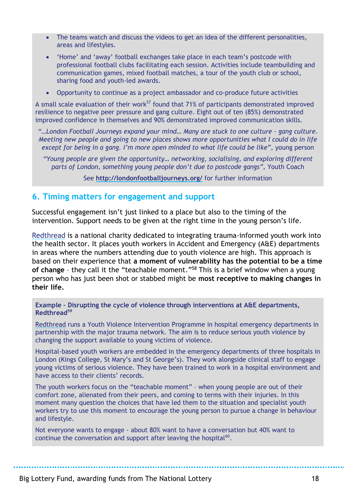- The teams watch and discuss the videos to get an idea of the different personalities, areas and lifestyles.
- 'Home' and 'away' football exchanges take place in each team's postcode with professional football clubs facilitating each session. Activities include teambuilding and communication games, mixed football matches, a tour of the youth club or school, sharing food and youth-led awards.
- Opportunity to continue as a project ambassador and co-produce future activities

A small scale evaluation of their work<sup>57</sup> found that 71% of participants demonstrated improved resilience to negative peer pressure and gang culture. Eight out of ten (85%) demonstrated improved confidence in themselves and 90% demonstrated improved communication skills.

*"…London Football Journeys expand your mind… Many are stuck to one culture – gang culture. Meeting new people and going to new places shows more opportunities what I could do in life except for being in a gang. I'm more open minded to what life could be like"*, young person

*"Young people are given the opportunity… networking, socialising, and exploring different parts of London, something young people don't due to postcode gangs",* Youth Coach

See **<http://londonfootballjourneys.org/>** for further information

### <span id="page-17-0"></span>**6. Timing matters for engagement and support**

Successful engagement isn't just linked to a place but also to the timing of the intervention. Support needs to be given at the right time in the young person's life.

[Redthread](http://www.redthread.org.uk/) is a national charity dedicated to integrating trauma-informed youth work into the health sector. It places youth workers in Accident and Emergency (A&E) departments in areas where the numbers attending due to youth violence are high. This approach is based on their experience that **a moment of vulnerability has the potential to be a time of change** – they call it the "teachable moment."<sup>58</sup> This is a brief window when a young person who has just been shot or stabbed might be **most receptive to making changes in their life.** 

<span id="page-17-1"></span>**Example – Disrupting the cycle of violence through interventions at A&E departments, Redthread<sup>59</sup>**

[Redthread](http://www.redthread.org.uk/) runs a Youth Violence Intervention Programme in hospital emergency departments in partnership with the major trauma network. The aim is to reduce serious youth violence by changing the support available to young victims of violence.

Hospital-based youth workers are embedded in the emergency departments of three hospitals in London (Kings College, St Mary's and St George's). They work alongside clinical staff to engage young victims of serious violence. They have been trained to work in a hospital environment and have access to their clients' records.

The youth workers focus on the "teachable moment" – when young people are out of their comfort zone, alienated from their peers, and coming to terms with their injuries. In this moment many question the choices that have led them to the situation and specialist youth workers try to use this moment to encourage the young person to pursue a change in behaviour and lifestyle.

Not everyone wants to engage - about 80% want to have a conversation but 40% want to continue the conversation and support after leaving the hospital $60$ .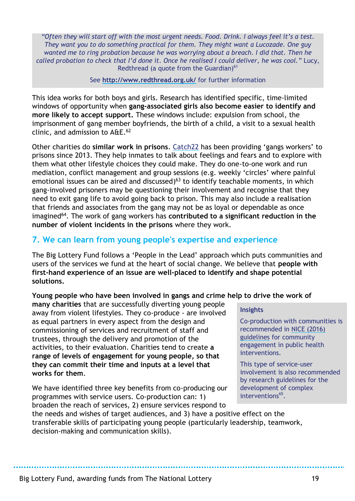*"Often they will start off with the most urgent needs. Food. Drink. I always feel it's a test. They want you to do something practical for them. They might want a Lucozade. One guy wanted me to ring probation because he was worrying about a breach. I did that. Then he called probation to check that I'd done it. Once he realised I could deliver, he was cool."* Lucy, Redthread (a quote from the Guardian)<sup>61</sup>

See **<http://www.redthread.org.uk/>** for further information

This idea works for both boys and girls. Research has identified specific, time-limited windows of opportunity when **gang-associated girls also become easier to identify and more likely to accept support.** These windows include: expulsion from school, the imprisonment of gang member boyfriends, the birth of a child, a visit to a sexual health clinic, and admission to A&E. 62

Other charities do **similar work in prisons**. [Catch22](https://www.catch-22.org.uk/) has been providing 'gangs workers' to prisons since 2013. They help inmates to talk about feelings and fears and to explore with them what other lifestyle choices they could make. They do one-to-one work and run mediation, conflict management and group sessions (e.g. weekly 'circles' where painful emotional issues can be aired and discussed)<sup>63</sup> to identify teachable moments, in which gang-involved prisoners may be questioning their involvement and recognise that they need to exit gang life to avoid going back to prison. This may also include a realisation that friends and associates from the gang may not be as loyal or dependable as once imagined<sup>64</sup>. The work of gang workers has **contributed to a significant reduction in the number of violent incidents in the prisons** where they work.

# <span id="page-18-1"></span><span id="page-18-0"></span>**7. We can learn from young people's expertise and experience**

The Big Lottery Fund follows a 'People in the Lead' approach which puts communities and users of the services we fund at the heart of social change. We believe that **people with first-hand experience of an issue are well-placed to identify and shape potential solutions.**

### **Young people who have been involved in gangs and crime help to drive the work of**

**many charities** that are successfully diverting young people away from violent lifestyles. They co-produce - are involved as equal partners in every aspect from the design and commissioning of services and recruitment of staff and trustees, through the delivery and promotion of the activities, to their evaluation. Charities tend to create **a range of levels of engagement for young people, so that they can commit their time and inputs at a level that works for them**.

We have identified three key benefits from co-producing our programmes with service users. Co-production can: 1) broaden the reach of services, 2) ensure services respond to

### **Insights**

Co-production with communities is recommended in [NICE \(2016\)](https://www.nice.org.uk/guidance/NG44)  [guidelines](https://www.nice.org.uk/guidance/NG44) for community engagement in public health interventions.

This type of service-user involvement is also recommended by research guidelines for the development of complex interventions<sup>65</sup>.

the needs and wishes of target audiences, and 3) have a positive effect on the transferable skills of participating young people (particularly leadership, teamwork, decision-making and communication skills).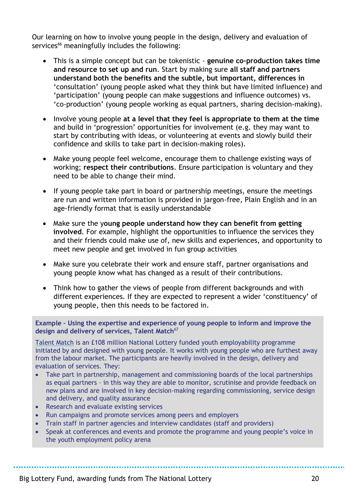Our learning on how to involve young people in the design, delivery and evaluation of services<sup>66</sup> meaningfully includes the following:

- This is a simple concept but can be tokenistic **genuine co-production takes time and resource to set up and run**. Start by making sure **all staff and partners understand both the benefits and the subtle, but important, differences in**  'consultation' (young people asked what they think but have limited influence) and 'participation' (young people can make suggestions and influence outcomes) vs. 'co-production' (young people working as equal partners, sharing decision-making).
- Involve young people **at a level that they feel is appropriate to them at the time** and build in 'progression' opportunities for involvement (e.g. they may want to start by contributing with ideas, or volunteering at events and slowly build their confidence and skills to take part in decision-making roles).
- Make young people feel welcome, encourage them to challenge existing ways of working; **respect their contributions**. Ensure participation is voluntary and they need to be able to change their mind.
- If young people take part in board or partnership meetings, ensure the meetings are run and written information is provided in jargon-free, Plain English and in an age-friendly format that is easily understandable
- Make sure the y**oung people understand how they can benefit from getting involved**. For example, highlight the opportunities to influence the services they and their friends could make use of, new skills and experiences, and opportunity to meet new people and get involved in fun group activities
- Make sure you celebrate their work and ensure staff, partner organisations and young people know what has changed as a result of their contributions.
- Think how to gather the views of people from different backgrounds and with different experiences. If they are expected to represent a wider 'constituency' of young people, then this needs to be factored in.

<span id="page-19-0"></span>**Example – Using the expertise and experience of young people to inform and improve the**  design and delivery of services, Talent Match<sup>67</sup>

[Talent Match](https://www.biglotteryfund.org.uk/global-content/programmes/england/talent-match) is an £108 million National Lottery funded youth employability programme initiated by and designed with young people. It works with young people who are furthest away from the labour market. The participants are heavily involved in the design, delivery and evaluation of services. They:

- Take part in partnership, management and commissioning boards of the local partnerships as equal partners – in this way they are able to monitor, scrutinise and provide feedback on new plans and are involved in key decision-making regarding commissioning, service design and delivery, and quality assurance
- Research and evaluate existing services
- Run campaigns and promote services among peers and employers
- Train staff in partner agencies and interview candidates (staff and providers)
- Speak at conferences and events and promote the programme and young people's voice in the youth employment policy arena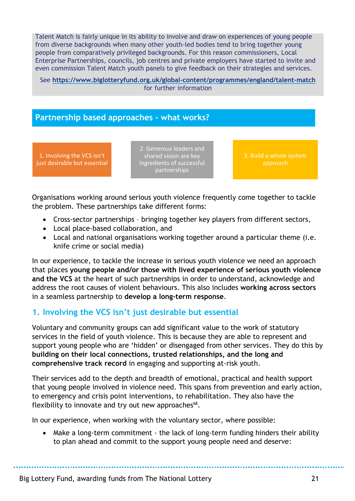Talent Match is fairly unique in its ability to involve and draw on experiences of young people from diverse backgrounds when many other youth-led bodies tend to bring together young people from comparatively privileged backgrounds. For this reason commissioners, Local Enterprise Partnerships, councils, job centres and private employers have started to invite and even commission Talent Match youth panels to give feedback on their strategies and services.

See **<https://www.biglotteryfund.org.uk/global-content/programmes/england/talent-match>** for further information

### <span id="page-20-0"></span>**Partnership based approaches - what works?**

1. Involving the VCS isn't just desirable but essential 2. Generous leaders and shared vision are key ingredients of successful partnerships

approach

Organisations working around serious youth violence frequently come together to tackle the problem. These partnerships take different forms:

- Cross-sector partnerships bringing together key players from different sectors,
- Local place-based collaboration, and
- Local and national organisations working together around a particular theme (i.e. knife crime or social media)

In our experience, to tackle the increase in serious youth violence we need an approach that places **young people and/or those with lived experience of serious youth violence and the VCS** at the heart of such partnerships in order to understand, acknowledge and address the root causes of violent behaviours. This also includes **working across sectors** in a seamless partnership to **develop a long-term response**.

# **1. Involving the VCS isn't just desirable but essential**

Voluntary and community groups can add significant value to the work of statutory services in the field of youth violence. This is because they are able to represent and support young people who are 'hidden' or disengaged from other services. They do this by **building on their local connections, trusted relationships, and the long and comprehensive track record** in engaging and supporting at-risk youth.

Their services add to the depth and breadth of emotional, practical and health support that young people involved in violence need. This spans from prevention and early action, to emergency and crisis point interventions, to rehabilitation. They also have the flexibility to innovate and try out new approaches<sup>68</sup>.

In our experience, when working with the voluntary sector, where possible:

 Make a long-term commitment - the lack of long-term funding hinders their ability to plan ahead and commit to the support young people need and deserve:

. . . . . . . . . . . .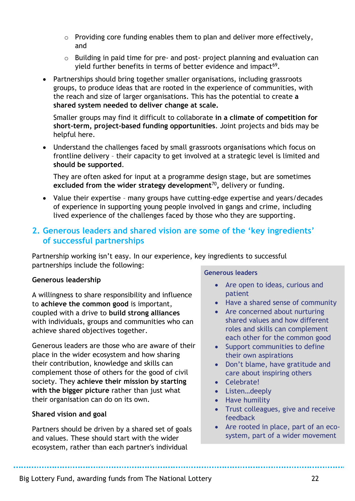- o Providing core funding enables them to plan and deliver more effectively, and
- o Building in paid time for pre- and post- project planning and evaluation can yield further benefits in terms of better evidence and impact<sup>69</sup>.
- Partnerships should bring together smaller organisations, including grassroots groups, to produce ideas that are rooted in the experience of communities, with the reach and size of larger organisations. This has the potential to create **a shared system needed to deliver change at scale.**

Smaller groups may find it difficult to collaborate **in a climate of competition for short-term, project-based funding opportunities**. Joint projects and bids may be helpful here.

 Understand the challenges faced by small grassroots organisations which focus on frontline delivery – their capacity to get involved at a strategic level is limited and **should be supported**.

They are often asked for input at a programme design stage, but are sometimes **excluded from the wider strategy development**<sup>70</sup> **,** delivery or funding.

 Value their expertise – many groups have cutting-edge expertise and years/decades of experience in supporting young people involved in gangs and crime, including lived experience of the challenges faced by those who they are supporting.

# **2. Generous leaders and shared vision are some of the 'key ingredients' of successful partnerships**

Partnership working isn't easy. In our experience, key ingredients to successful partnerships include the following:

### **Generous leadership**

A willingness to share responsibility and influence to **achieve the common good** is important, coupled with a drive to **build strong alliances** with individuals, groups and communities who can achieve shared objectives together.

Generous leaders are those who are aware of their place in the wider ecosystem and how sharing their contribution, knowledge and skills can complement those of others for the good of civil society. They **achieve their mission by starting with the bigger picture** rather than just what their organisation can do on its own.

### **Shared vision and goal**

Partners should be driven by a shared set of goals and values. These should start with the wider ecosystem, rather than each partner's individual

### **Generous leaders**

- Are open to ideas, curious and patient
- Have a shared sense of community
- Are concerned about nurturing shared values and how different roles and skills can complement each other for the common good
- Support communities to define their own aspirations
- Don't blame, have gratitude and care about inspiring others
- Celebrate!
- Listen…deeply
- Have humility
- Trust colleagues, give and receive feedback
- Are rooted in place, part of an ecosystem, part of a wider movement

. . . . . . . . . . .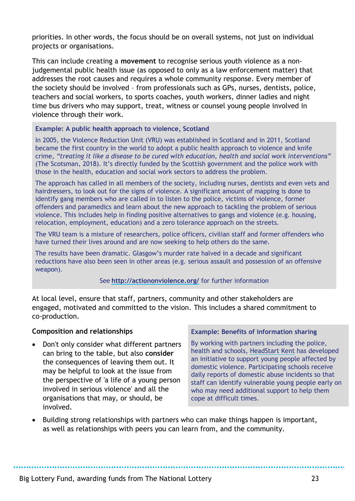priorities. In other words, the focus should be on overall systems, not just on individual projects or organisations.

This can include creating a **movement** to recognise serious youth violence as a nonjudgemental public health issue (as opposed to only as a law enforcement matter) that addresses the root causes and requires a whole community response. Every member of the society should be involved – from professionals such as GPs, nurses, dentists, police, teachers and social workers, to sports coaches, youth workers, dinner ladies and night time bus drivers who may support, treat, witness or counsel young people involved in violence through their work.

### **Example: A public health approach to violence, Scotland**

In 2005, the Violence Reduction Unit (VRU) was established in Scotland and in 2011, Scotland became the first country in the world to adopt a public health approach to violence and knife crime, *"treating it like a disease to be cured with education, health and social work interventions"* (The Scotsman, 2018). It's directly funded by the Scottish government and the police work with those in the health, education and social work sectors to address the problem.

The approach has called in all members of the society, including nurses, dentists and even vets and hairdressers, to look out for the signs of violence. A significant amount of mapping is done to identify gang members who are called in to listen to the police, victims of violence, former offenders and paramedics and learn about the new approach to tackling the problem of serious violence. This includes help in finding positive alternatives to gangs and violence (e.g. housing, relocation, employment, education) and a zero tolerance approach on the streets.

The VRU team is a mixture of researchers, police officers, civilian staff and former offenders who have turned their lives around and are now seeking to help others do the same.

The results have been dramatic. Glasgow's murder rate halved in a decade and significant reductions have also been seen in other areas (e.g. serious assault and possession of an offensive weapon).

### See **<http://actiononviolence.org/>** for further information

At local level, ensure that staff, partners, community and other stakeholders are engaged, motivated and committed to the vision. This includes a shared commitment to co-production.

### **Composition and relationships**

• Don't only consider what different partners can bring to the table, but also **consider** the consequences of leaving them out. It may be helpful to look at the issue from the perspective of 'a life of a young person involved in serious violence' and all the organisations that may, or should, be involved.

### **Example: Benefits of information sharing**

By working with partners including the police, health and schools, [HeadStart Kent](https://www.headstartkent.org.uk/) has developed an initiative to support young people affected by domestic violence. Participating schools receive daily reports of domestic abuse incidents so that staff can identify vulnerable young people early on who may need additional support to help them cope at difficult times.

 Building strong relationships with partners who can make things happen is important, as well as relationships with peers you can learn from, and the community.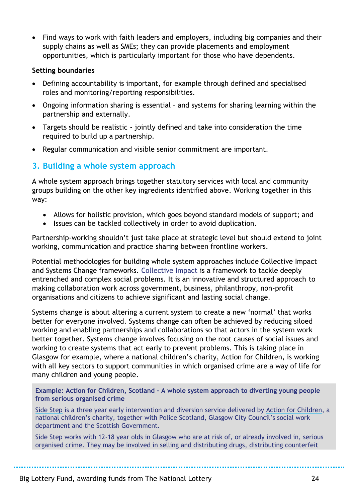Find ways to work with faith leaders and employers, including big companies and their supply chains as well as SMEs; they can provide placements and employment opportunities, which is particularly important for those who have dependents.

### **Setting boundaries**

- Defining accountability is important, for example through defined and specialised roles and monitoring/reporting responsibilities.
- Ongoing information sharing is essential and systems for sharing learning within the partnership and externally.
- Targets should be realistic jointly defined and take into consideration the time required to build up a partnership.
- Regular communication and visible senior commitment are important.

# **3. Building a whole system approach**

A whole system approach brings together statutory services with local and community groups building on the other key ingredients identified above. Working together in this way:

- Allows for holistic provision, which goes beyond standard models of support; and
- Issues can be tackled collectively in order to avoid duplication.

Partnership-working shouldn't just take place at strategic level but should extend to joint working, communication and practice sharing between frontline workers.

Potential methodologies for building whole system approaches include Collective Impact and Systems Change frameworks. [Collective Impact](http://www.collaborationforimpact.com/collective-impact/) is a framework to tackle deeply entrenched and complex social problems. It is an innovative and structured approach to making collaboration work across government, business, philanthropy, non-profit organisations and citizens to achieve significant and lasting social change.

Systems change is about altering a current system to create a new 'normal' that works better for everyone involved. Systems change can often be achieved by reducing siloed working and enabling partnerships and collaborations so that actors in the system work better together. Systems change involves focusing on the root causes of social issues and working to create systems that act early to prevent problems. This is taking place in Glasgow for example, where a national children's charity, Action for Children, is working with all key sectors to support communities in which organised crime are a way of life for many children and young people.

<span id="page-23-0"></span>**Example: Action for Children, Scotland – A whole system approach to diverting young people from serious organised crime**

[Side Step](http://www.heart.co.uk/scotland/news/local/scheme-diverting-young-from-crime-receive/) is a three year early intervention and diversion service delivered by [Action for Children,](https://www.actionforchildren.org.uk/) a national children's charity, together with Police Scotland, Glasgow City Council's social work department and the Scottish Government.

Side Step works with 12-18 year olds in Glasgow who are at risk of, or already involved in, serious organised crime. They may be involved in selling and distributing drugs, distributing counterfeit

. . . . . . . . . .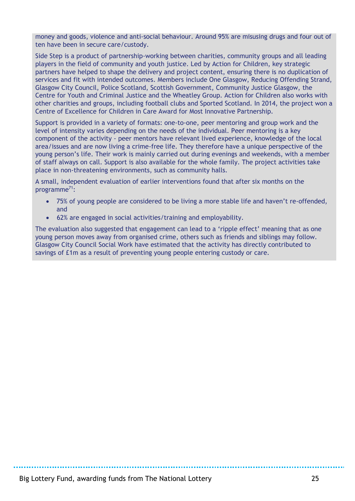money and goods, violence and anti-social behaviour. Around 95% are misusing drugs and four out of ten have been in secure care/custody.

Side Step is a product of partnership-working between charities, community groups and all leading players in the field of community and youth justice. Led by Action for Children, key strategic partners have helped to shape the delivery and project content, ensuring there is no duplication of services and fit with intended outcomes. Members include One Glasgow, Reducing Offending Strand, Glasgow City Council, Police Scotland, Scottish Government, Community Justice Glasgow, the Centre for Youth and Criminal Justice and the Wheatley Group. Action for Children also works with other charities and groups, including football clubs and Sported Scotland. In 2014, the project won a Centre of Excellence for Children in Care Award for Most Innovative Partnership.

Support is provided in a variety of formats: one-to-one, peer mentoring and group work and the level of intensity varies depending on the needs of the individual. Peer mentoring is a key component of the activity - peer mentors have relevant lived experience, knowledge of the local area/issues and are now living a crime-free life. They therefore have a unique perspective of the young person's life. Their work is mainly carried out during evenings and weekends, with a member of staff always on call. Support is also available for the whole family. The project activities take place in non-threatening environments, such as community halls.

A small, independent evaluation of earlier interventions found that after six months on the programme $^{71}$ :

- 75% of young people are considered to be living a more stable life and haven't re-offended, and
- 62% are engaged in social activities/training and employability.

The evaluation also suggested that engagement can lead to a 'ripple effect' meaning that as one young person moves away from organised crime, others such as friends and siblings may follow. Glasgow City Council Social Work have estimated that the activity has directly contributed to savings of £1m as a result of preventing young people entering custody or care.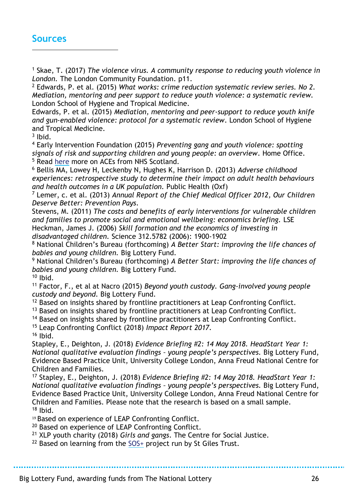# **Sources**

 $\overline{a}$ 

<sup>1</sup> Skae, T. (2017) *The violence virus. A community response to reducing youth violence in London.* The London Community Foundation. p11.

<sup>2</sup> Edwards, P. et al. (2015) *What works: crime reduction systematic review series. No 2. Mediation, mentoring and peer support to reduce youth violence: a systematic review.* London School of Hygiene and Tropical Medicine.

Edwards, P. et al. (2015) *Mediation, mentoring and peer-support to reduce youth knife and gun-enabled violence: protocol for a systematic review*. London School of Hygiene and Tropical Medicine.

 $3$  lbid.

<sup>4</sup> Early Intervention Foundation (2015) *Preventing gang and youth violence: spotting signals of risk and supporting children and young people: an overview*. Home Office. <sup>5</sup> Read [here](http://www.healthscotland.scot/population-groups/children/adverse-childhood-experiences) more on ACEs from NHS Scotland.

<sup>6</sup> Bellis MA, Lowey H, Leckenby N, Hughes K, Harrison D. (2013) *Adverse childhood experiences: retrospective study to determine their impact on adult health behaviours and health outcomes in a UK population.* Public Health (Oxf)

<sup>7</sup> Lemer, c. et al. (2013) *Annual Report of the Chief Medical Officer 2012, Our Children Deserve Better: Prevention Pays.*

Stevens, M. (2011) *The costs and benefits of early interventions for vulnerable children and families to promote social and emotional wellbeing: economics briefing.* LSE Heckman, James J. (2006) *Skill formation and the economics of investing in disadvantaged children.* Science 312.5782 (2006): 1900-1902

<sup>8</sup> National Children's Bureau (forthcoming) *A Better Start: improving the life chances of babies and young children.* Big Lottery Fund.

<sup>9</sup> National Children's Bureau (forthcoming) *A Better Start: improving the life chances of babies and young children.* Big Lottery Fund.

 $10$  Ibid.

<sup>11</sup> Factor, F., et al at Nacro (2015) *Beyond youth custody. Gang-involved young people custody and beyond.* Big Lottery Fund.

<sup>12</sup> Based on insights shared by frontline practitioners at Leap Confronting Conflict.

<sup>13</sup> Based on insights shared by frontline practitioners at Leap Confronting Conflict.

<sup>14</sup> Based on insights shared by frontline practitioners at Leap Confronting Conflict.

<sup>15</sup> Leap Confronting Conflict (2018) *Impact Report 2017.*   $16$  Ibid.

Stapley, E., Deighton, J. (2018) *Evidence Briefing #2: 14 May 2018. HeadStart Year 1: National qualitative evaluation findings – young people's perspectives.* Big Lottery Fund, Evidence Based Practice Unit, University College London, Anna Freud National Centre for Children and Families.

<sup>17</sup> Stapley, E., Deighton, J. (2018) *Evidence Briefing #2: 14 May 2018. HeadStart Year 1: National qualitative evaluation findings – young people's perspectives.* Big Lottery Fund, Evidence Based Practice Unit, University College London, Anna Freud National Centre for Children and Families. Please note that the research is based on a small sample.  $18$  Ibid.

<sup>19</sup> Based on experience of LEAP Confronting Conflict.

<sup>20</sup> Based on experience of LEAP Confronting Conflict.

<sup>21</sup> XLP youth charity (2018) *Girls and gangs*. The Centre for Social Justice.

 $22$  Based on learning from the [SOS+](https://www.stgilestrust.org.uk/page/sos-plus-programme) project run by St Giles Trust.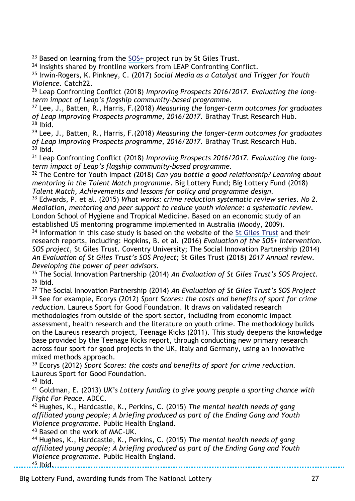$23$  Based on learning from the [SOS+](https://www.stgilestrust.org.uk/page/sos-plus-programme) project run by St Giles Trust.

<sup>24</sup> Insights shared by frontline workers from LEAP Confronting Conflict.

<sup>25</sup> Irwin-Rogers, K. Pinkney, C. (2017) *Social Media as a Catalyst and Trigger for Youth Violence.* Catch22.

<sup>26</sup> Leap Confronting Conflict (2018) *Improving Prospects 2016/2017. Evaluating the longterm impact of Leap's flagship community-based programme.*

<sup>27</sup> Lee, J., Batten, R., Harris, F.(2018) *Measuring the longer-term outcomes for graduates of Leap Improving Prospects programme, 2016/2017.* Brathay Trust Research Hub.  $28$  Ibid.

<sup>29</sup> Lee, J., Batten, R., Harris, F.(2018) *Measuring the longer-term outcomes for graduates of Leap Improving Prospects programme, 2016/2017.* Brathay Trust Research Hub.  $30$  Ibid.

<sup>31</sup> Leap Confronting Conflict (2018) *Improving Prospects 2016/2017. Evaluating the longterm impact of Leap's flagship community-based programme.*

<sup>32</sup> The Centre for Youth Impact (2018) *Can you bottle a good relationship? Learning about mentoring in the Talent Match programme*. Big Lottery Fund; Big Lottery Fund (2018) *Talent Match, Achievements and lessons for policy and programme design.*

<sup>33</sup> Edwards, P. et al. (2015) *What works: crime reduction systematic review series. No 2. Mediation, mentoring and peer support to reduce youth violence: a systematic review.* London School of Hygiene and Tropical Medicine. Based on an economic study of an established US mentoring programme implemented in Australia (Moody, 2009).

<sup>34</sup> Information in this case study is based on the website of the [St Giles Trust](https://www.stgilestrust.org.uk/index) and their research reports, including: Hopkins, B. et al. (2016) *Evaluation of the SOS+ intervention. SOS project,* St Giles Trust*.* Coventry University; The Social Innovation Partnership (2014) *An Evaluation of St Giles Trust's SOS Project;* St Giles Trust (2018) *2017 Annual review. Developing the power of peer advisors.*

<sup>35</sup> The Social Innovation Partnership (2014) *An Evaluation of St Giles Trust's SOS Project.* <sup>36</sup> Ibid.

<sup>37</sup> The Social Innovation Partnership (2014) *An Evaluation of St Giles Trust's SOS Project* <sup>38</sup> See for example, Ecorys (2012) *Sport Scores: the costs and benefits of sport for crime reduction.* Laureus Sport for Good Foundation. It draws on validated research methodologies from outside of the sport sector, including from economic impact assessment, health research and the literature on youth crime. The methodology builds on the Laureus research project, Teenage Kicks (2011). This study deepens the knowledge base provided by the Teenage Kicks report, through conducting new primary research across four sport for good projects in the UK, Italy and Germany, using an innovative mixed methods approach.

<sup>39</sup> Ecorys (2012) *Sport Scores: the costs and benefits of sport for crime reduction.* Laureus Sport for Good Foundation.

<sup>40</sup> Ibid.

1

<sup>41</sup> Goldman, E. (2013) *UK's Lottery funding to give young people a sporting chance with Fight For Peace.* ADCC.

<sup>42</sup> Hughes, K., Hardcastle, K., Perkins, C. (2015) *The mental health needs of gang affiliated young people; A briefing produced as part of the Ending Gang and Youth Violence programme.* Public Health England.

<sup>43</sup> Based on the work of MAC-UK.

<sup>44</sup> Hughes, K., Hardcastle, K., Perkins, C. (2015) *The mental health needs of gang affiliated young people; A briefing produced as part of the Ending Gang and Youth Violence programme.* Public Health England.  $45$  Ibid..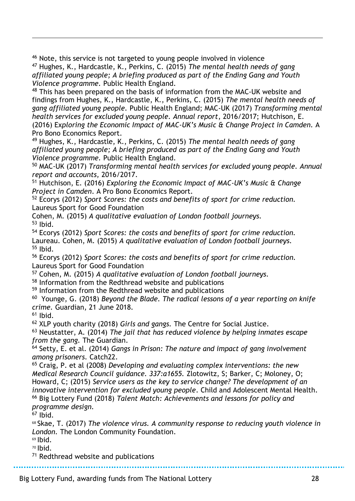<sup>46</sup> Note, this service is not targeted to young people involved in violence <sup>47</sup> Hughes, K., Hardcastle, K., Perkins, C. (2015) *The mental health needs of gang affiliated young people; A briefing produced as part of the Ending Gang and Youth Violence programme.* Public Health England.

<sup>48</sup> This has been prepared on the basis of information from the MAC-UK website and findings from Hughes, K., Hardcastle, K., Perkins, C. (2015) *The mental health needs of gang affiliated young people.* Public Health England; MAC-UK (2017) *Transforming mental health services for excluded young people. Annual report*, 2016/2017; Hutchison, E. (2016) Ex*ploring the Economic Impact of MAC-UK's Music & Change Project in Camden.* A Pro Bono Economics Report.

<sup>49</sup> Hughes, K., Hardcastle, K., Perkins, C. (2015) *The mental health needs of gang affiliated young people; A briefing produced as part of the Ending Gang and Youth Violence programme.* Public Health England.

<sup>50</sup> MAC-UK (2017) *Transforming mental health services for excluded young people. Annual report and accounts,* 2016/2017.

<sup>51</sup> Hutchison, E. (2016) *Exploring the Economic Impact of MAC-UK's Music & Change Project in Camden*. A Pro Bono Economics Report.

<sup>52</sup> Ecorys (2012) *Sport Scores: the costs and benefits of sport for crime reduction.* Laureus Sport for Good Foundation

Cohen, M. (2015) *A qualitative evaluation of London football journeys.*  $53$  Ibid.

<sup>54</sup> Ecorys (2012) *Sport Scores: the costs and benefits of sport for crime reduction.* Laureau. Cohen, M. (2015) *A qualitative evaluation of London football journeys.*  $55$  Ibid.

<sup>56</sup> Ecorys (2012) *Sport Scores: the costs and benefits of sport for crime reduction.* Laureus Sport for Good Foundation

<sup>57</sup> Cohen, M. (2015) *A qualitative evaluation of London football journeys.*

<sup>58</sup> Information from the Redthread website and publications

<sup>59</sup> Information from the Redthread website and publications

60 Younge, G. (2018) *Beyond the Blade. The radical lessons of a year reporting on knife crime.* Guardian, 21 June 2018.

 $61$  Ibid.

1

<sup>62</sup> XLP youth charity (2018) *Girls and gangs.* The Centre for Social Justice.

<sup>63</sup> Neustatter, A. (2014) *The jail that has reduced violence by helping inmates escape from the gang.* The Guardian.

<sup>64</sup> Setty, E. et al. (2014) *Gangs in Prison: The nature and impact of gang involvement among prisoners.* Catch22.

<sup>65</sup> Craig, P. et al (2008) *Developing and evaluating complex interventions: the new Medical Research Council guidance. 337:a1655.* Zlotowitz, S; Barker, C; Moloney, O; Howard, C; (2015) *Service users as the key to service change? The development of an innovative intervention for excluded young people*. Child and Adolescent Mental Health. <sup>66</sup> Big Lottery Fund (2018) *Talent Match: Achievements and lessons for policy and programme design.*

 $67$  Ibid.

<sup>68</sup> Skae, T. (2017) *The violence virus. A community response to reducing youth violence in London.* The London Community Foundation.

 $69$  lbid.

<sup>70</sup> Ibid.

<sup>71</sup> Redthread website and publications